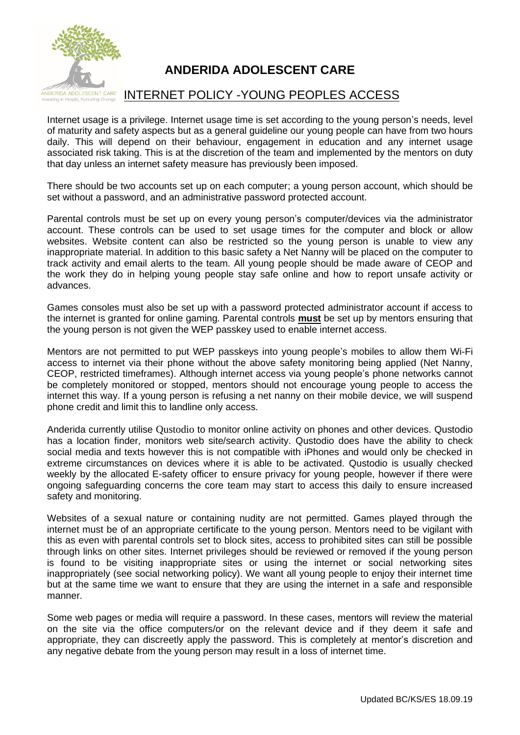

# **ANDERIDA ADOLESCENT CARE**

## INTERNET POLICY -YOUNG PEOPLES ACCESS

Internet usage is a privilege. Internet usage time is set according to the young person's needs, level of maturity and safety aspects but as a general guideline our young people can have from two hours daily. This will depend on their behaviour, engagement in education and any internet usage associated risk taking. This is at the discretion of the team and implemented by the mentors on duty that day unless an internet safety measure has previously been imposed.

There should be two accounts set up on each computer; a young person account, which should be set without a password, and an administrative password protected account.

Parental controls must be set up on every young person's computer/devices via the administrator account. These controls can be used to set usage times for the computer and block or allow websites. Website content can also be restricted so the young person is unable to view any inappropriate material. In addition to this basic safety a Net Nanny will be placed on the computer to track activity and email alerts to the team. All young people should be made aware of CEOP and the work they do in helping young people stay safe online and how to report unsafe activity or advances.

Games consoles must also be set up with a password protected administrator account if access to the internet is granted for online gaming. Parental controls **must** be set up by mentors ensuring that the young person is not given the WEP passkey used to enable internet access.

Mentors are not permitted to put WEP passkeys into young people's mobiles to allow them Wi-Fi access to internet via their phone without the above safety monitoring being applied (Net Nanny, CEOP, restricted timeframes). Although internet access via young people's phone networks cannot be completely monitored or stopped, mentors should not encourage young people to access the internet this way. If a young person is refusing a net nanny on their mobile device, we will suspend phone credit and limit this to landline only access.

Anderida currently utilise Qustodio to monitor online activity on phones and other devices. Qustodio has a location finder, monitors web site/search activity. Qustodio does have the ability to check social media and texts however this is not compatible with iPhones and would only be checked in extreme circumstances on devices where it is able to be activated. Qustodio is usually checked weekly by the allocated E-safety officer to ensure privacy for young people, however if there were ongoing safeguarding concerns the core team may start to access this daily to ensure increased safety and monitoring.

Websites of a sexual nature or containing nudity are not permitted. Games played through the internet must be of an appropriate certificate to the young person. Mentors need to be vigilant with this as even with parental controls set to block sites, access to prohibited sites can still be possible through links on other sites. Internet privileges should be reviewed or removed if the young person is found to be visiting inappropriate sites or using the internet or social networking sites inappropriately (see social networking policy). We want all young people to enjoy their internet time but at the same time we want to ensure that they are using the internet in a safe and responsible manner.

Some web pages or media will require a password. In these cases, mentors will review the material on the site via the office computers/or on the relevant device and if they deem it safe and appropriate, they can discreetly apply the password. This is completely at mentor's discretion and any negative debate from the young person may result in a loss of internet time.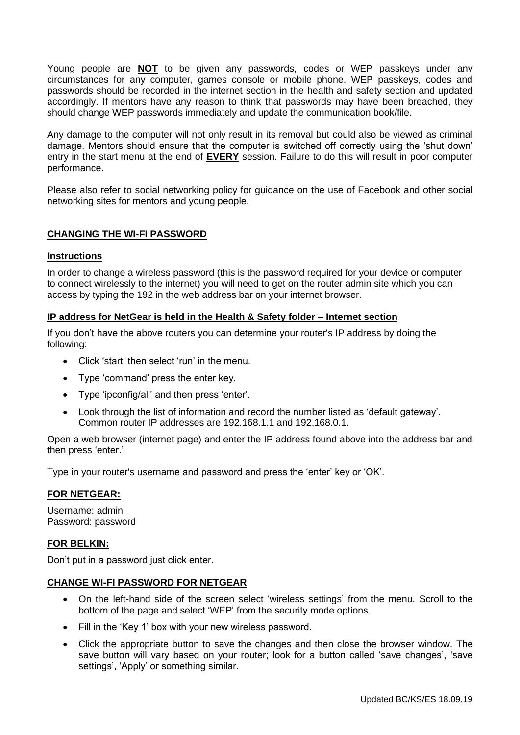Young people are **NOT** to be given any passwords, codes or WEP passkeys under any circumstances for any computer, games console or mobile phone. WEP passkeys, codes and passwords should be recorded in the internet section in the health and safety section and updated accordingly. If mentors have any reason to think that passwords may have been breached, they should change WEP passwords immediately and update the communication book/file.

Any damage to the computer will not only result in its removal but could also be viewed as criminal damage. Mentors should ensure that the computer is switched off correctly using the 'shut down' entry in the start menu at the end of **EVERY** session. Failure to do this will result in poor computer performance.

Please also refer to social networking policy for guidance on the use of Facebook and other social networking sites for mentors and young people.

### **CHANGING THE WI-FI PASSWORD**

### **Instructions**

In order to change a wireless password (this is the password required for your device or computer to connect wirelessly to the internet) you will need to get on the router admin site which you can access by typing the 192 in the web address bar on your internet browser.

### **IP address for NetGear is held in the Health & Safety folder – Internet section**

If you don't have the above routers you can determine your router's IP address by doing the following:

- Click 'start' then select 'run' in the menu.
- Type 'command' press the enter key.
- Type 'ipconfig/all' and then press 'enter'.
- Look through the list of information and record the number listed as 'default gateway'. Common router IP addresses are 192.168.1.1 and 192.168.0.1.

Open a [web](http://www.ehow.com/how_6800855_change-wep-password.html) browser (internet page) and enter the IP address found above into the address bar and then press 'enter.'

Type in your router's username and password and press the 'enter' key or 'OK'.

### **FOR NETGEAR:**

Username: admin Password: password

### **FOR BELKIN:**

Don't put in a password just click enter.

#### **CHANGE WI-FI PASSWORD FOR NETGEAR**

- On the left-hand side of the screen select 'wireless settings' from the menu. Scroll to the bottom of the page and select 'WEP' from the security mode options.
- Fill in the 'Key 1' box with your new wireless password.
- Click the appropriate button to save the changes and then close the browser window. The save button will vary based on your router; look for a button called 'save changes', 'save settings', 'Apply' or something similar.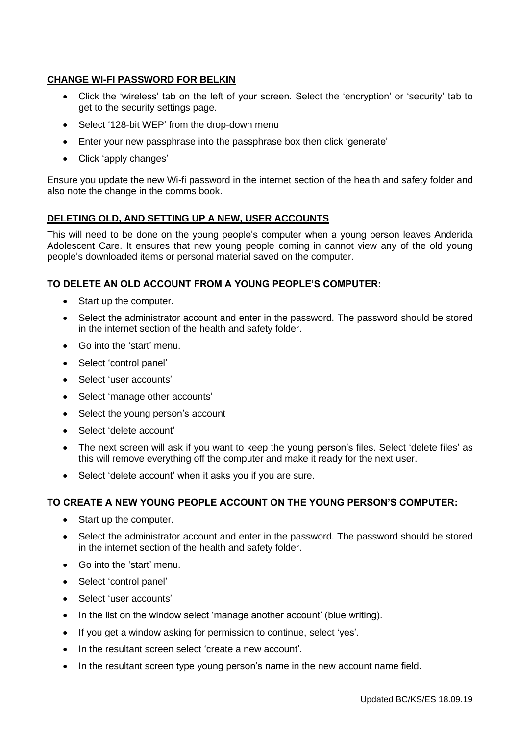### **CHANGE WI-FI PASSWORD FOR BELKIN**

- Click the 'wireless' tab on the left of your screen. Select the 'encryption' or 'security' tab to get to the security settings page.
- Select '128-bit WEP' from the drop-down menu
- Enter your new passphrase into the passphrase box then click 'generate'
- Click 'apply changes'

Ensure you update the new Wi-fi password in the internet section of the health and safety folder and also note the change in the comms book.

### **DELETING OLD, AND SETTING UP A NEW, USER ACCOUNTS**

This will need to be done on the young people's computer when a young person leaves Anderida Adolescent Care. It ensures that new young people coming in cannot view any of the old young people's downloaded items or personal material saved on the computer.

### **TO DELETE AN OLD ACCOUNT FROM A YOUNG PEOPLE'S COMPUTER:**

- Start up the computer.
- Select the administrator account and enter in the password. The password should be stored in the internet section of the health and safety folder.
- Go into the 'start' menu.
- Select 'control panel'
- Select 'user accounts'
- Select 'manage other accounts'
- Select the young person's account
- Select 'delete account'
- The next screen will ask if you want to keep the young person's files. Select 'delete files' as this will remove everything off the computer and make it ready for the next user.
- Select 'delete account' when it asks you if you are sure.

### **TO CREATE A NEW YOUNG PEOPLE ACCOUNT ON THE YOUNG PERSON'S COMPUTER:**

- Start up the computer.
- Select the administrator account and enter in the password. The password should be stored in the internet section of the health and safety folder.
- Go into the 'start' menu.
- Select 'control panel'
- Select 'user accounts'
- In the list on the window select 'manage another account' (blue writing).
- If you get a window asking for permission to continue, select 'yes'.
- In the resultant screen select 'create a new account'.
- In the resultant screen type young person's name in the new account name field.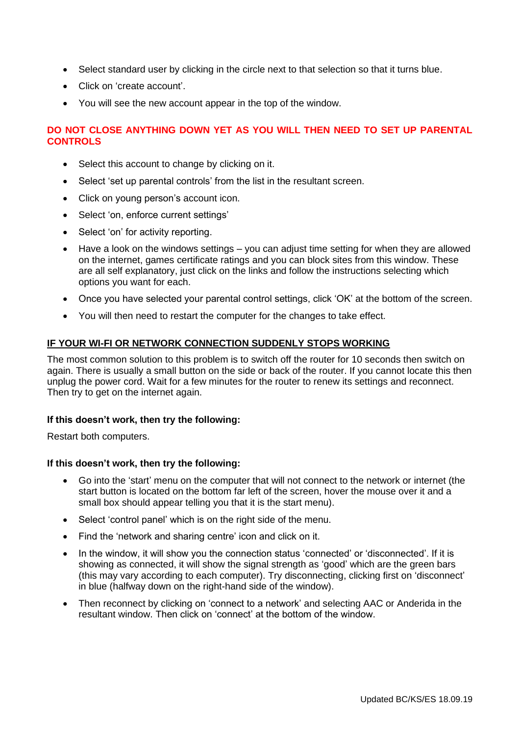- Select standard user by clicking in the circle next to that selection so that it turns blue.
- Click on 'create account'.
- You will see the new account appear in the top of the window.

### **DO NOT CLOSE ANYTHING DOWN YET AS YOU WILL THEN NEED TO SET UP PARENTAL CONTROLS**

- Select this account to change by clicking on it.
- Select 'set up parental controls' from the list in the resultant screen.
- Click on young person's account icon.
- Select 'on, enforce current settings'
- Select 'on' for activity reporting.
- Have a look on the windows settings you can adjust time setting for when they are allowed on the internet, games certificate ratings and you can block sites from this window. These are all self explanatory, just click on the links and follow the instructions selecting which options you want for each.
- Once you have selected your parental control settings, click 'OK' at the bottom of the screen.
- You will then need to restart the computer for the changes to take effect.

### **IF YOUR WI-FI OR NETWORK CONNECTION SUDDENLY STOPS WORKING**

The most common solution to this problem is to switch off the router for 10 seconds then switch on again. There is usually a small button on the side or back of the router. If you cannot locate this then unplug the power cord. Wait for a few minutes for the router to renew its settings and reconnect. Then try to get on the internet again.

### **If this doesn't work, then try the following:**

Restart both computers.

### **If this doesn't work, then try the following:**

- Go into the 'start' menu on the computer that will not connect to the network or internet (the start button is located on the bottom far left of the screen, hover the mouse over it and a small box should appear telling you that it is the start menu).
- Select 'control panel' which is on the right side of the menu.
- Find the 'network and sharing centre' icon and click on it.
- In the window, it will show you the connection status 'connected' or 'disconnected'. If it is showing as connected, it will show the signal strength as 'good' which are the green bars (this may vary according to each computer). Try disconnecting, clicking first on 'disconnect' in blue (halfway down on the right-hand side of the window).
- Then reconnect by clicking on 'connect to a network' and selecting AAC or Anderida in the resultant window. Then click on 'connect' at the bottom of the window.